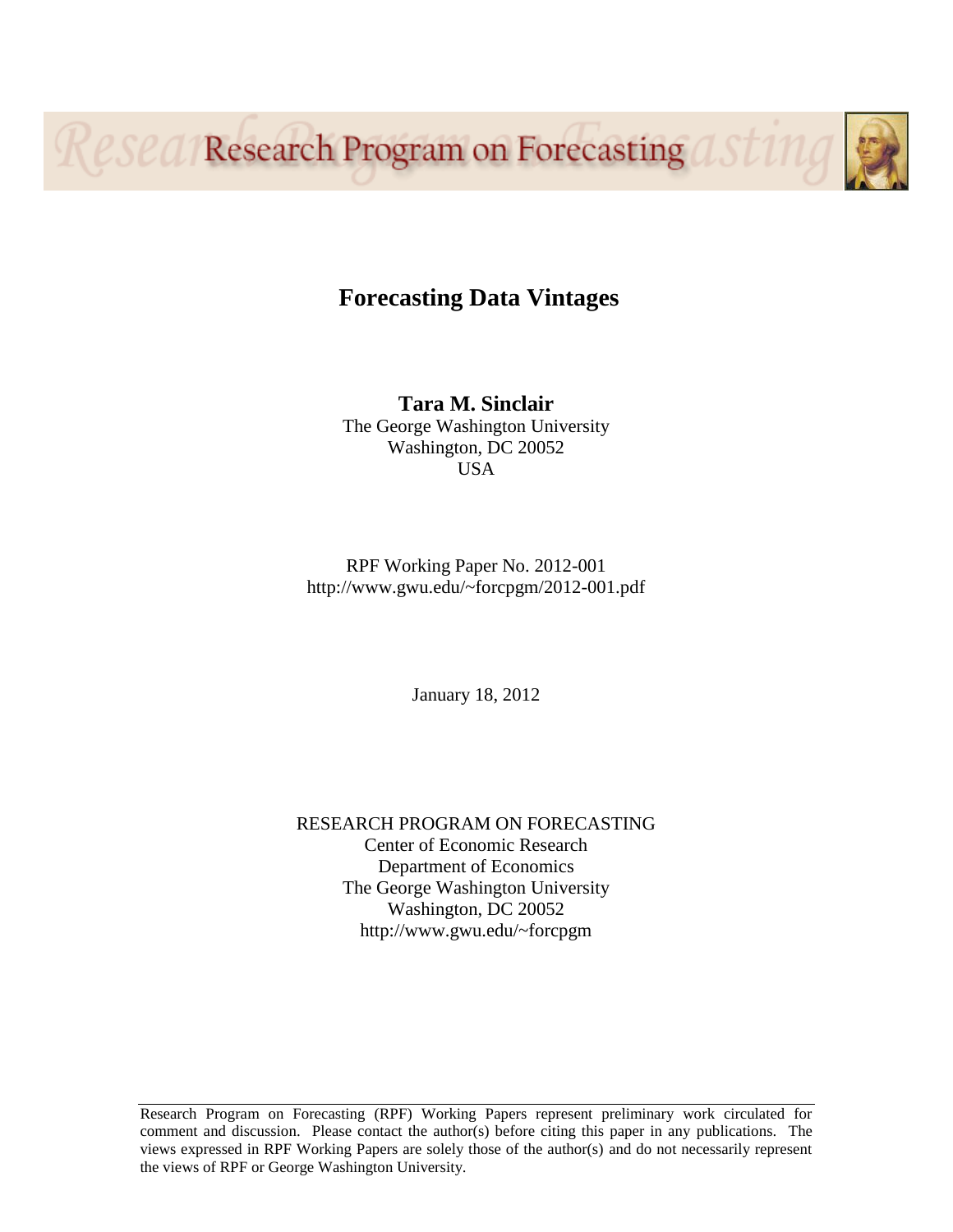**Research Program on Forecasting** 



# **Forecasting Data Vintages**

**Tara M. Sinclair** The George Washington University Washington, DC 20052 USA

RPF Working Paper No. 2012-001 http://www.gwu.edu/~forcpgm/2012-001.pdf

January 18, 2012

RESEARCH PROGRAM ON FORECASTING Center of Economic Research Department of Economics The George Washington University Washington, DC 20052 http://www.gwu.edu/~forcpgm

Research Program on Forecasting (RPF) Working Papers represent preliminary work circulated for comment and discussion. Please contact the author(s) before citing this paper in any publications. The views expressed in RPF Working Papers are solely those of the author(s) and do not necessarily represent the views of RPF or George Washington University.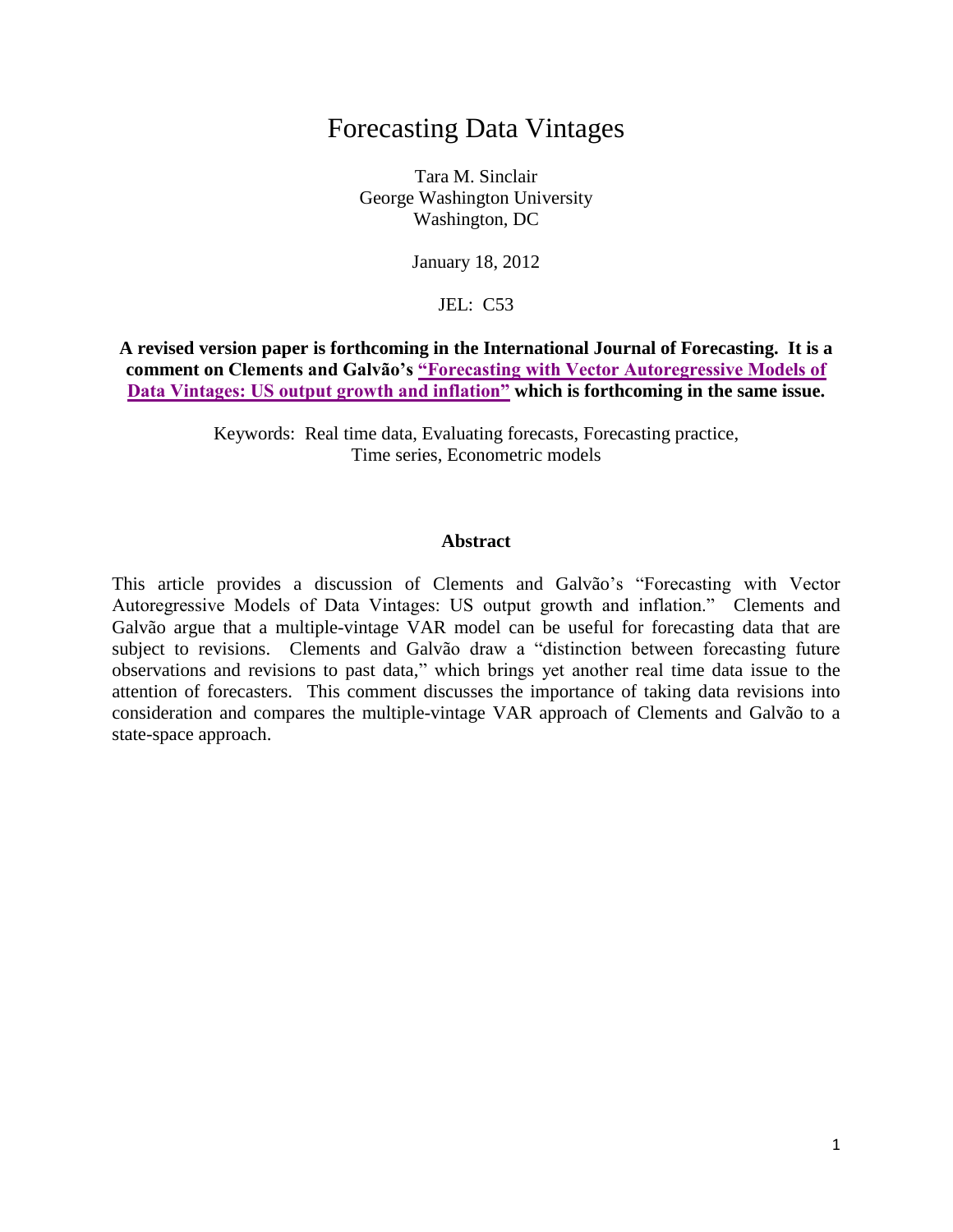# Forecasting Data Vintages

Tara M. Sinclair George Washington University Washington, DC

January 18, 2012

JEL: C53

**A revised version paper is forthcoming in the International Journal of Forecasting. It is a comment on Clements and Galvão's ["Forecasting with Vector Autoregressive Models of](http://webspace.qmul.ac.uk/aferreira/V-VAR%20forcwebpage.pdf)  [Data Vintages: US output growth and inflation"](http://webspace.qmul.ac.uk/aferreira/V-VAR%20forcwebpage.pdf) which is forthcoming in the same issue.** 

> Keywords: Real time data, Evaluating forecasts, Forecasting practice, Time series, Econometric models

#### **Abstract**

This article provides a discussion of Clements and Galvão's "Forecasting with Vector Autoregressive Models of Data Vintages: US output growth and inflation." Clements and Galvão argue that a multiple-vintage VAR model can be useful for forecasting data that are subject to revisions. Clements and Galvão draw a "distinction between forecasting future observations and revisions to past data," which brings yet another real time data issue to the attention of forecasters. This comment discusses the importance of taking data revisions into consideration and compares the multiple-vintage VAR approach of Clements and Galvão to a state-space approach.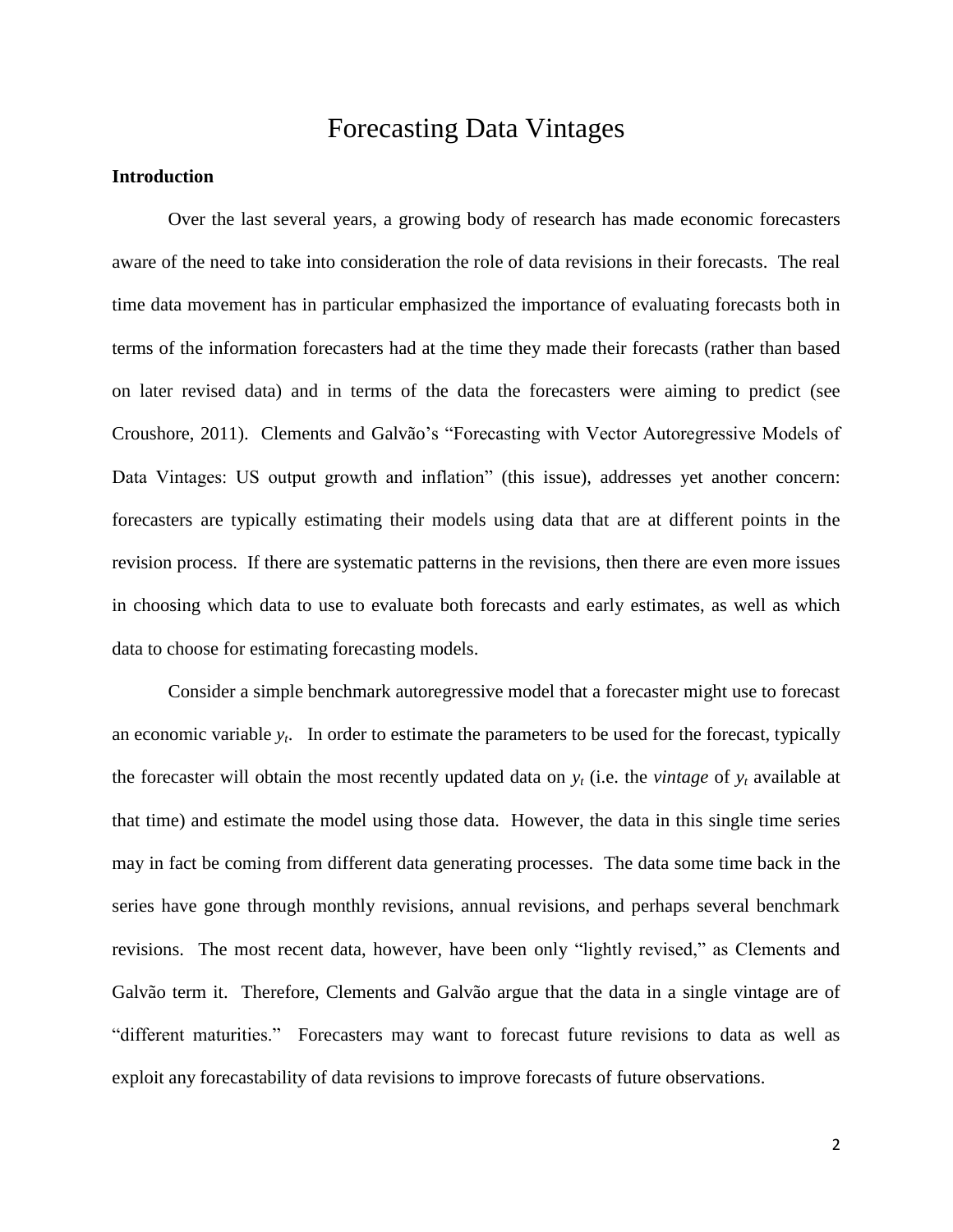## Forecasting Data Vintages

## **Introduction**

Over the last several years, a growing body of research has made economic forecasters aware of the need to take into consideration the role of data revisions in their forecasts. The real time data movement has in particular emphasized the importance of evaluating forecasts both in terms of the information forecasters had at the time they made their forecasts (rather than based on later revised data) and in terms of the data the forecasters were aiming to predict (see Croushore, 2011). Clements and Galvão's "Forecasting with Vector Autoregressive Models of Data Vintages: US output growth and inflation" (this issue), addresses yet another concern: forecasters are typically estimating their models using data that are at different points in the revision process. If there are systematic patterns in the revisions, then there are even more issues in choosing which data to use to evaluate both forecasts and early estimates, as well as which data to choose for estimating forecasting models.

Consider a simple benchmark autoregressive model that a forecaster might use to forecast an economic variable *y<sup>t</sup>* . In order to estimate the parameters to be used for the forecast, typically the forecaster will obtain the most recently updated data on  $y_t$  (i.e. the *vintage* of  $y_t$  available at that time) and estimate the model using those data. However, the data in this single time series may in fact be coming from different data generating processes. The data some time back in the series have gone through monthly revisions, annual revisions, and perhaps several benchmark revisions. The most recent data, however, have been only "lightly revised," as Clements and Galvão term it. Therefore, Clements and Galvão argue that the data in a single vintage are of "different maturities." Forecasters may want to forecast future revisions to data as well as exploit any forecastability of data revisions to improve forecasts of future observations.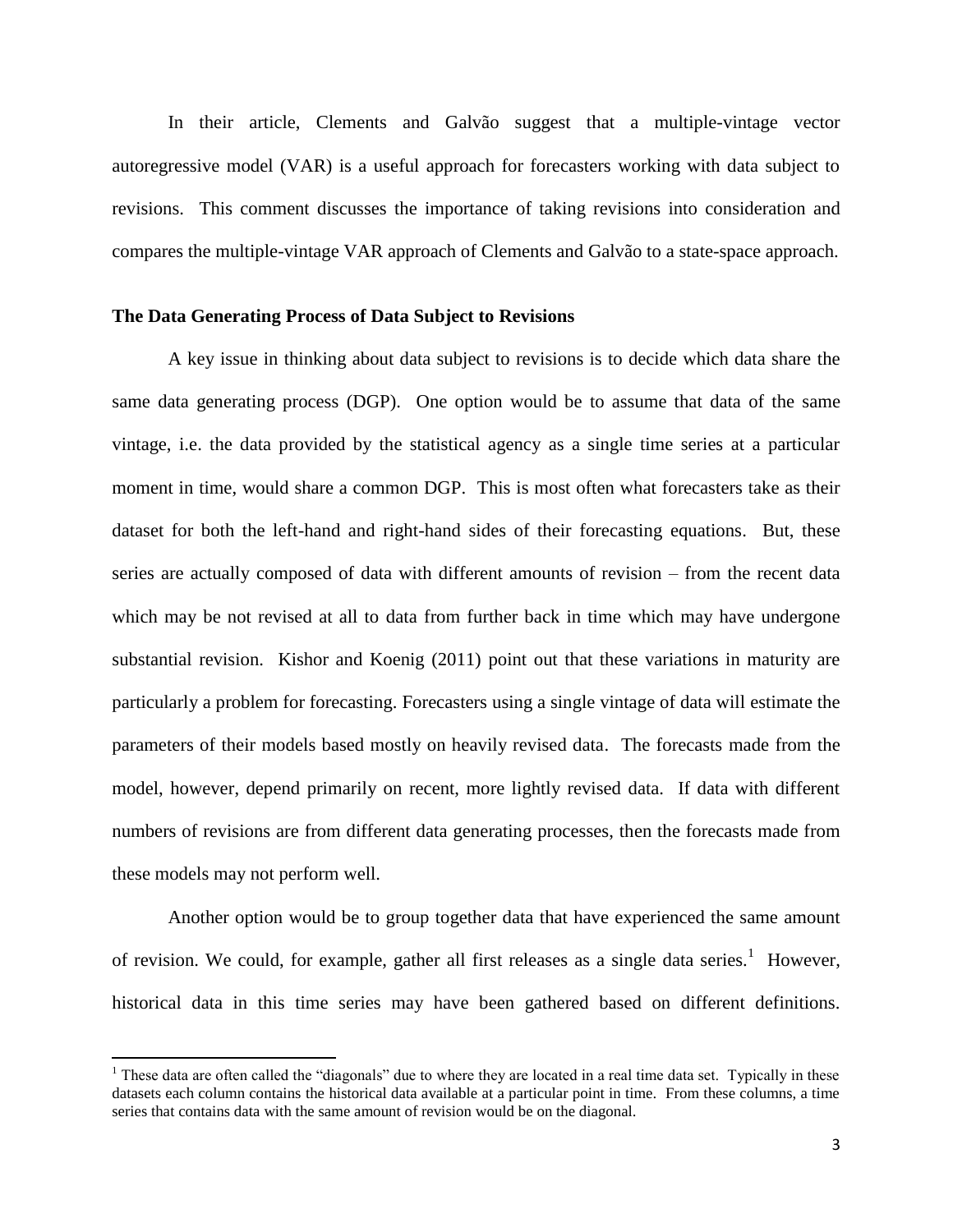In their article, Clements and Galvão suggest that a multiple-vintage vector autoregressive model (VAR) is a useful approach for forecasters working with data subject to revisions. This comment discusses the importance of taking revisions into consideration and compares the multiple-vintage VAR approach of Clements and Galvão to a state-space approach.

## **The Data Generating Process of Data Subject to Revisions**

A key issue in thinking about data subject to revisions is to decide which data share the same data generating process (DGP). One option would be to assume that data of the same vintage, i.e. the data provided by the statistical agency as a single time series at a particular moment in time, would share a common DGP. This is most often what forecasters take as their dataset for both the left-hand and right-hand sides of their forecasting equations. But, these series are actually composed of data with different amounts of revision – from the recent data which may be not revised at all to data from further back in time which may have undergone substantial revision. Kishor and Koenig (2011) point out that these variations in maturity are particularly a problem for forecasting. Forecasters using a single vintage of data will estimate the parameters of their models based mostly on heavily revised data. The forecasts made from the model, however, depend primarily on recent, more lightly revised data. If data with different numbers of revisions are from different data generating processes, then the forecasts made from these models may not perform well.

Another option would be to group together data that have experienced the same amount of revision. We could, for example, gather all first releases as a single data series.<sup>1</sup> However, historical data in this time series may have been gathered based on different definitions.

 $\overline{\phantom{a}}$ 

<sup>&</sup>lt;sup>1</sup> These data are often called the "diagonals" due to where they are located in a real time data set. Typically in these datasets each column contains the historical data available at a particular point in time. From these columns, a time series that contains data with the same amount of revision would be on the diagonal.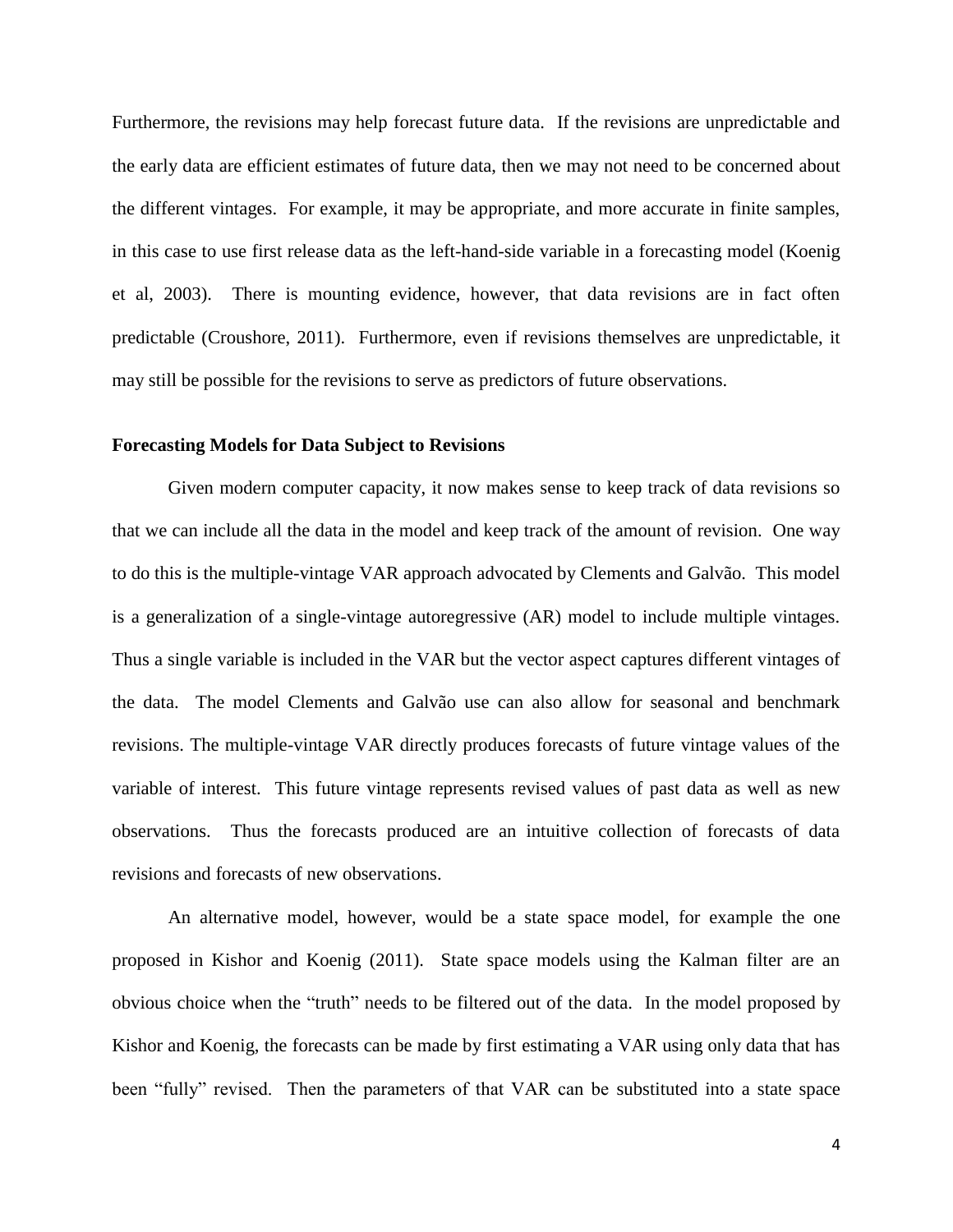Furthermore, the revisions may help forecast future data. If the revisions are unpredictable and the early data are efficient estimates of future data, then we may not need to be concerned about the different vintages. For example, it may be appropriate, and more accurate in finite samples, in this case to use first release data as the left-hand-side variable in a forecasting model (Koenig et al, 2003). There is mounting evidence, however, that data revisions are in fact often predictable (Croushore, 2011). Furthermore, even if revisions themselves are unpredictable, it may still be possible for the revisions to serve as predictors of future observations.

## **Forecasting Models for Data Subject to Revisions**

Given modern computer capacity, it now makes sense to keep track of data revisions so that we can include all the data in the model and keep track of the amount of revision. One way to do this is the multiple-vintage VAR approach advocated by Clements and Galvão. This model is a generalization of a single-vintage autoregressive (AR) model to include multiple vintages. Thus a single variable is included in the VAR but the vector aspect captures different vintages of the data. The model Clements and Galvão use can also allow for seasonal and benchmark revisions. The multiple-vintage VAR directly produces forecasts of future vintage values of the variable of interest. This future vintage represents revised values of past data as well as new observations. Thus the forecasts produced are an intuitive collection of forecasts of data revisions and forecasts of new observations.

An alternative model, however, would be a state space model, for example the one proposed in Kishor and Koenig (2011). State space models using the Kalman filter are an obvious choice when the "truth" needs to be filtered out of the data. In the model proposed by Kishor and Koenig, the forecasts can be made by first estimating a VAR using only data that has been "fully" revised. Then the parameters of that VAR can be substituted into a state space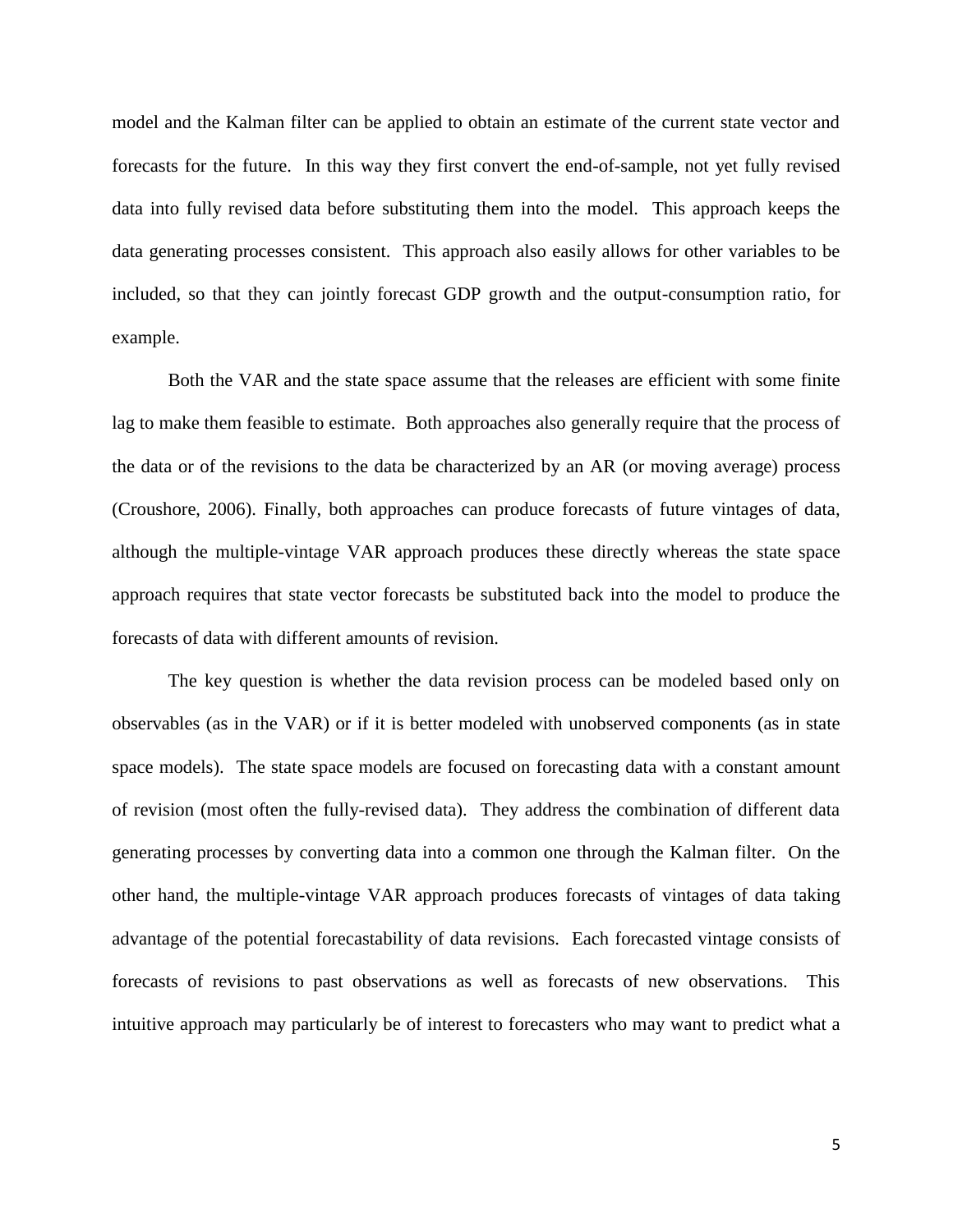model and the Kalman filter can be applied to obtain an estimate of the current state vector and forecasts for the future. In this way they first convert the end-of-sample, not yet fully revised data into fully revised data before substituting them into the model. This approach keeps the data generating processes consistent. This approach also easily allows for other variables to be included, so that they can jointly forecast GDP growth and the output-consumption ratio, for example.

Both the VAR and the state space assume that the releases are efficient with some finite lag to make them feasible to estimate. Both approaches also generally require that the process of the data or of the revisions to the data be characterized by an AR (or moving average) process (Croushore, 2006). Finally, both approaches can produce forecasts of future vintages of data, although the multiple-vintage VAR approach produces these directly whereas the state space approach requires that state vector forecasts be substituted back into the model to produce the forecasts of data with different amounts of revision.

The key question is whether the data revision process can be modeled based only on observables (as in the VAR) or if it is better modeled with unobserved components (as in state space models). The state space models are focused on forecasting data with a constant amount of revision (most often the fully-revised data). They address the combination of different data generating processes by converting data into a common one through the Kalman filter. On the other hand, the multiple-vintage VAR approach produces forecasts of vintages of data taking advantage of the potential forecastability of data revisions. Each forecasted vintage consists of forecasts of revisions to past observations as well as forecasts of new observations. This intuitive approach may particularly be of interest to forecasters who may want to predict what a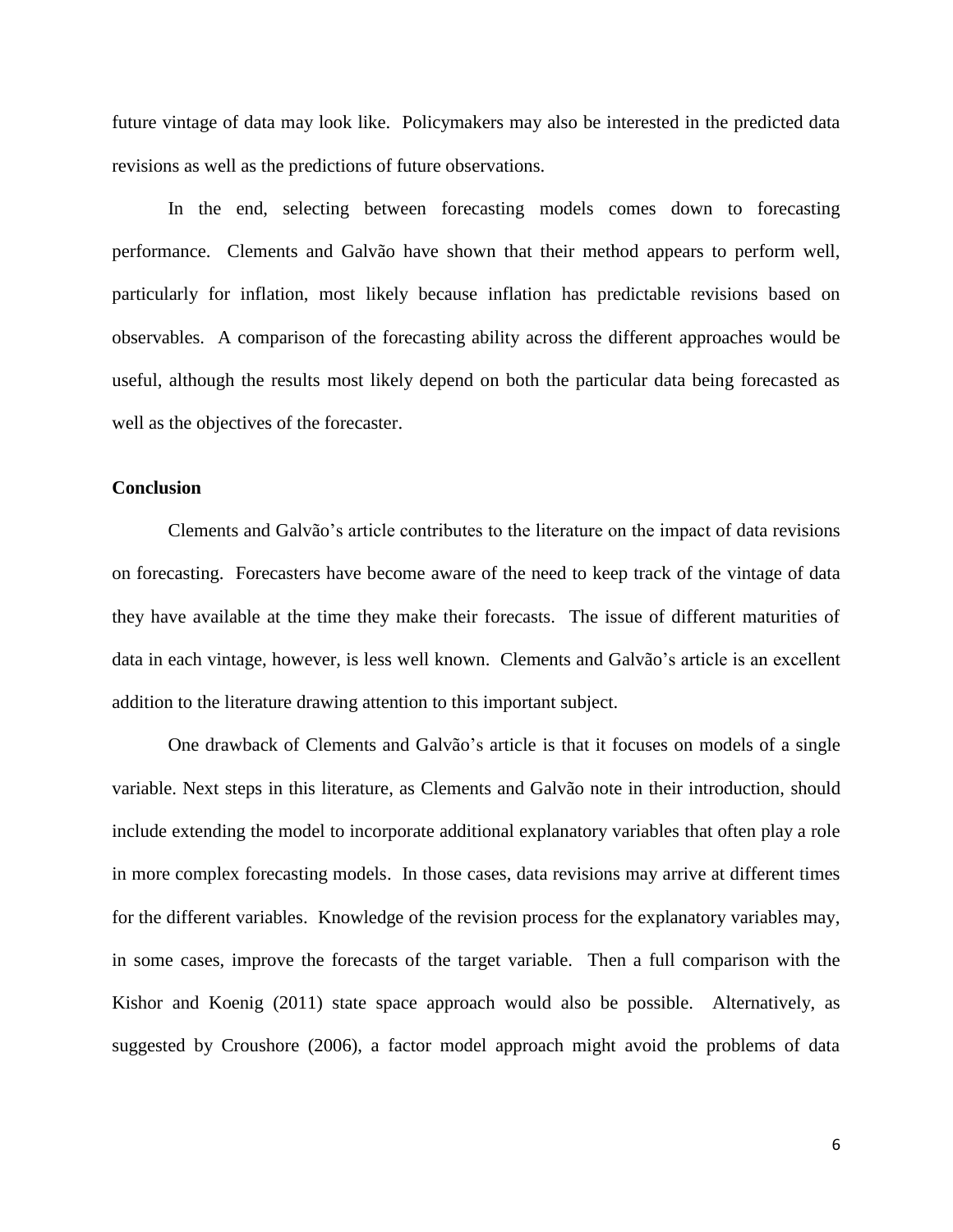future vintage of data may look like. Policymakers may also be interested in the predicted data revisions as well as the predictions of future observations.

In the end, selecting between forecasting models comes down to forecasting performance. Clements and Galvão have shown that their method appears to perform well, particularly for inflation, most likely because inflation has predictable revisions based on observables. A comparison of the forecasting ability across the different approaches would be useful, although the results most likely depend on both the particular data being forecasted as well as the objectives of the forecaster.

## **Conclusion**

Clements and Galvão's article contributes to the literature on the impact of data revisions on forecasting. Forecasters have become aware of the need to keep track of the vintage of data they have available at the time they make their forecasts. The issue of different maturities of data in each vintage, however, is less well known. Clements and Galvão's article is an excellent addition to the literature drawing attention to this important subject.

One drawback of Clements and Galvão's article is that it focuses on models of a single variable. Next steps in this literature, as Clements and Galvão note in their introduction, should include extending the model to incorporate additional explanatory variables that often play a role in more complex forecasting models. In those cases, data revisions may arrive at different times for the different variables. Knowledge of the revision process for the explanatory variables may, in some cases, improve the forecasts of the target variable. Then a full comparison with the Kishor and Koenig (2011) state space approach would also be possible. Alternatively, as suggested by Croushore (2006), a factor model approach might avoid the problems of data